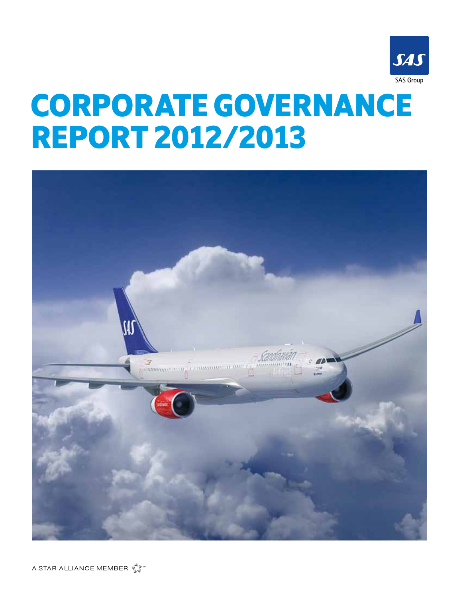

# Corporate governance report 2012/2013

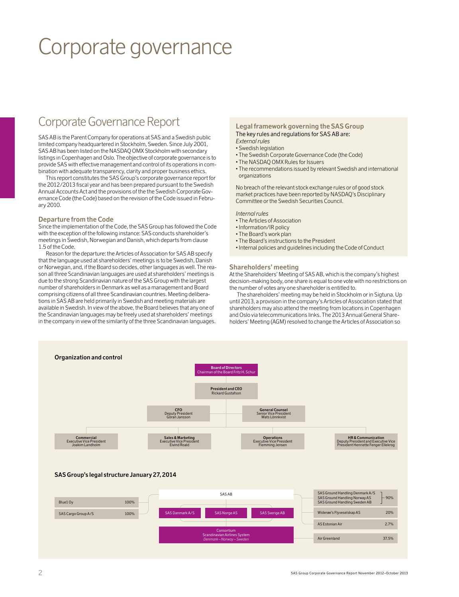## Corporate governance

### Corporate Governance Report

SAS AB is the Parent Company for operations at SAS and a Swedish public limited company headquartered in Stockholm, Sweden. Since July 2001, SAS AB has been listed on the NASDAQ OMX Stockholm with secondary listings in Copenhagen and Oslo. The objective of corporate governance is to provide SAS with effective management and control of its operations in combination with adequate transparency, clarity and proper business ethics.

This report constitutes the SAS Group's corporate governance report for the 2012/2013 fiscal year and has been prepared pursuant to the Swedish Annual Accounts Act and the provisions of the the Swedish Corporate Governance Code (the Code) based on the revision of the Code issued in February 2010.

#### **Departure from the Code**

Since the implementation of the Code, the SAS Group has followed the Code with the exception of the following instance: SAS conducts shareholder's meetings in Swedish, Norwegian and Danish, which departs from clause 1.5 of the Code.

Reason for the departure: the Articles of Association for SAS AB specify that the language used at shareholders' meetings is to be Swedish, Danish or Norwegian, and, if the Board so decides, other languages as well. The reason all three Scandinavian languages are used at shareholders' meetings is due to the strong Scandinavian nature of the SAS Group with the largest number of shareholders in Denmark as well as a management and Board comprising citizens of all three Scandinavian countries. Meeting deliberations in SAS AB are held primarily in Swedish and meeting materials are available in Swedish. In view of the above, the Board believes that any one of the Scandinavian languages may be freely used at shareholders' meetings in the company in view of the similarity of the three Scandinavian languages.

#### **Legal framework governing the SAS Group**  The key rules and regulations for SAS AB are:

*External rules*

- Swedish legislation
- The Swedish Corporate Governance Code (the Code)
- The NASDAQ OMX Rules for Issuers
- The recommendations issued by relevant Swedish and international organizations

No breach of the relevant stock exchange rules or of good stock market practices have been reported by NASDAQ's Disciplinary Committee or the Swedish Securities Council.

#### *Internal rules*

- The Articles of Association
- Information/IR policy
- The Board's work plan
- The Board's instructions to the President
- Internal policies and guidelines including the Code of Conduct

#### **Shareholders' meeting**

At the Shareholders' Meeting of SAS AB, which is the company's highest decision-making body, one share is equal to one vote with no restrictions on the number of votes any one shareholder is entitled to.

The shareholders' meeting may be held in Stockholm or in Sigtuna. Up until 2013, a provision in the company's Articles of Association stated that shareholders may also attend the meeting from locations in Copenhagen and Oslo via telecommunications links. The 2013 Annual General Shareholders' Meeting (AGM) resolved to change the Articles of Association so

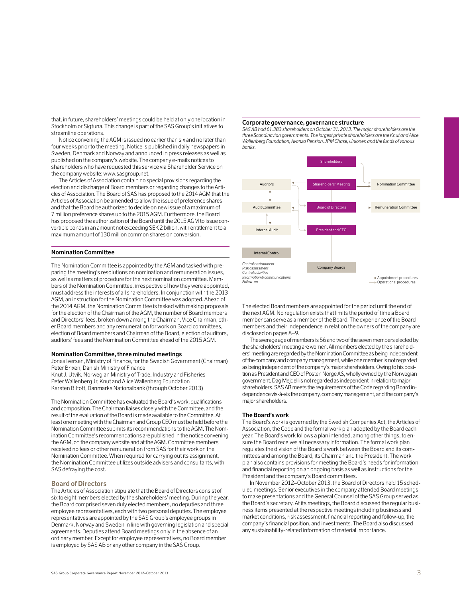that, in future, shareholders' meetings could be held at only one location in Stockholm or Sigtuna. This change is part of the SAS Group's initiatives to streamline operations.

Notice convening the AGM is issued no earlier than six and no later than four weeks prior to the meeting. Notice is published in daily newspapers in Sweden, Denmark and Norway and announced in press releases as well as published on the company's website. The company e-mails notices to shareholders who have requested this service via Shareholder Service on the company website; www.sasgroup.net.

The Articles of Association contain no special provisions regarding the election and discharge of Board members or regarding changes to the Articles of Association. The Board of SAS has proposed to the 2014 AGM that the Articles of Association be amended to allow the issue of preference shares and that the Board be authorized to decide on new issue of a maximum of 7 million preference shares up to the 2015 AGM. Furthermore, the Board has proposed the authorization of the Board until the 2015 AGM to issue convertible bonds in an amount not exceeding SEK 2 billion, with entitlement to a maximum amount of 130 million common shares on conversion.

#### **Nomination Committee**

The Nomination Committee is appointed by the AGM and tasked with preparing the meeting's resolutions on nomination and remuneration issues, as well as matters of procedure for the next nomination committee. Members of the Nomination Committee, irrespective of how they were appointed, must address the interests of all shareholders. In conjunction with the 2013 AGM, an instruction for the Nomination Committee was adopted. Ahead of the 2014 AGM, the Nomination Committee is tasked with making proposals for the election of the Chairman of the AGM, the number of Board members and Directors' fees, broken down among the Chairman, Vice Chairman, other Board members and any remuneration for work on Board committees, election of Board members and Chairman of the Board, election of auditors, auditors' fees and the Nomination Committee ahead of the 2015 AGM.

#### **Nomination Committee, three minuted meetings**

Jonas Iversen, Ministry of Finance, for the Swedish Government (Chairman) Peter Brixen, Danish Ministry of Finance

Knut J. Utvik, Norwegian Ministry of Trade, Industry and Fisheries Peter Wallenberg Jr, Knut and Alice Wallenberg Foundation Karsten Biltoft, Danmarks Nationalbank (through October 2013)

The Nomination Committee has evaluated the Board's work, qualifications and composition. The Chairman liaises closely with the Committee, and the result of the evaluation of the Board is made available to the Committee. At least one meeting with the Chairman and Group CEO must be held before the Nomination Committee submits its recommendations to the AGM. The Nomination Committee's recommendations are published in the notice convening the AGM, on the company website and at the AGM. Committee members received no fees or other remuneration from SAS for their work on the Nomination Committee. When required for carrying out its assignment, the Nomination Committee utilizes outside advisers and consultants, with SAS defraying the cost.

#### **Board of Directors**

The Articles of Association stipulate that the Board of Directors consist of six to eight members elected by the shareholders' meeting. During the year, the Board comprised seven duly elected members, no deputies and three employee representatives, each with two personal deputies. The employee representatives are appointed by the SAS Group's employee groups in Denmark, Norway and Sweden in line with governing legislation and special agreements. Deputies attend Board meetings only in the absence of an ordinary member. Except for employee representatives, no Board member is employed by SAS AB or any other company in the SAS Group.

#### **Corporate governance, governance structure**

*SAS AB had 61,383 shareholders on October 31, 2013. The major shareholders are the three Scandinavian governments. The largest private shareholders are the Knut and Alice Wallenberg Foundation, Avanza Pension, JPM Chase, Unionen and the funds of various banks.*



The elected Board members are appointed for the period until the end of the next AGM. No regulation exists that limits the period of time a Board member can serve as a member of the Board. The experience of the Board members and their independence in relation the owners of the company are disclosed on pages 8–9.

The average age of members is 56 and two of the seven members elected by the shareholders' meeting are women. All members elected by the shareholders' meeting are regarded by the Nomination Committee as being independent of the company and company management, while one member is not regarded as being independent of the company's major shareholders. Owing to his position as President and CEO of Posten Norge AS, wholly owned by the Norwegian government, Dag Mejdell is not regarded as independent in relation to major shareholders. SAS AB meets the requirements of the Code regarding Board independence vis-à-vis the company, company management, and the company's major shareholders.

#### **The Board's work**

The Board's work is governed by the Swedish Companies Act, the Articles of Association, the Code and the formal work plan adopted by the Board each year. The Board's work follows a plan intended, among other things, to ensure the Board receives all necessary information. The formal work plan regulates the division of the Board's work between the Board and its committees and among the Board, its Chairman and the President. The work plan also contains provisions for meeting the Board's needs for information and financial reporting on an ongoing basis as well as instructions for the President and the company's Board committees.

In November 2012–October 2013, the Board of Directors held 15 scheduled meetings. Senior executives in the company attended Board meetings to make presentations and the General Counsel of the SAS Group served as the Board's secretary. At its meetings, the Board discussed the regular business items presented at the respective meetings including business and market conditions, risk assessment, financial reporting and follow-up, the company's financial position, and investments. The Board also discussed any sustainability-related information of material importance.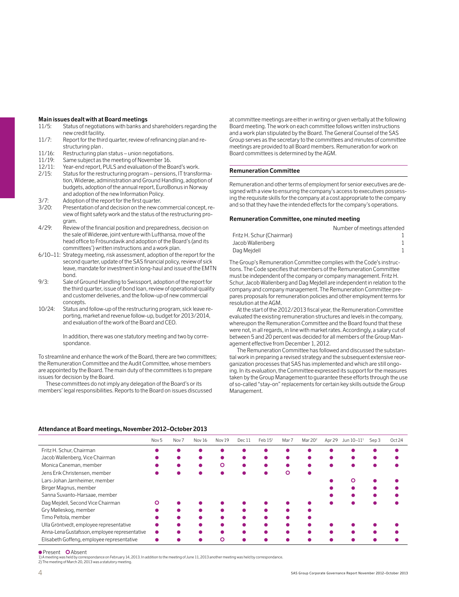#### **Main issues dealt with at Board meetings**

- 11/5: Status of negotiations with banks and shareholders regarding the new credit facility.
- 11/7: Report for the third quarter, review of refinancing plan and restructuring plan .
- 11/16: Restructuring plan status union negotiations.
- 11/19: Same subject as the meeting of November 16.
- 12/11: Year-end report, PULS and evaluation of the Board's work.
- 2/15: Status for the restructuring program pensions, IT transformation, Widerøe, administration and Ground Handling, adoption of budgets, adoption of the annual report, EuroBonus in Norway and adoption of the new Information Policy.
- 3/7: Adoption of the report for the first quarter.<br>3/20: Presentation of and decision on the new co
- Presentation of and decision on the new commercial concept, review of flight safety work and the status of the restructuring program.
- 4/29: Review of the financial position and preparedness, decision on the sale of Widerøe, joint venture with Lufthansa, move of the head office to Frösundavik and adoption of the Board's (and its committees') written instructions and a work plan.
- 6/10–11: Strategy meeting, risk assessment, adoption of the report for the second quarter, update of the SAS financial policy, review of sick leave, mandate for investment in long-haul and issue of the EMTN bond.
- 9/3: Sale of Ground Handling to Swissport, adoption of the report for the third quarter, issue of bond loan, review of operational quality and customer deliveries, and the follow-up of new commercial concepts.
- 10/24: Status and follow-up of the restructuring program, sick leave reporting, market and revenue follow-up, budget for 2013/2014, and evaluation of the work of the Board and CEO.

 In addition, there was one statutory meeting and two by correspondance.

To streamline and enhance the work of the Board, there are two committees; the Remuneration Committee and the Audit Committee, whose members are appointed by the Board. The main duty of the committees is to prepare issues for decision by the Board.

These committees do not imply any delegation of the Board's or its members' legal responsibilities. Reports to the Board on issues discussed at committee meetings are either in writing or given verbally at the following Board meeting. The work on each committee follows written instructions and a work plan stipulated by the Board. The General Counsel of the SAS Group serves as the secretary to the committees and minutes of committee meetings are provided to all Board members. Remuneration for work on Board committees is determined by the AGM.

#### **Remuneration Committee**

Remuneration and other terms of employment for senior executives are designed with a view to ensuring the company's access to executives possessing the requisite skills for the company at a cost appropriate to the company and so that they have the intended effects for the company's operations.

#### **Remuneration Committee, one minuted meeting**

|                           | Number of meetings attended |
|---------------------------|-----------------------------|
| Fritz H. Schur (Chairman) |                             |
| Jacob Wallenberg          |                             |
| Dag Meidell               |                             |

The Group's Remuneration Committee complies with the Code's instructions. The Code specifies that members of the Remuneration Committee must be independent of the company or company management. Fritz H. Schur, Jacob Wallenberg and Dag Mejdell are independent in relation to the company and company management. The Remuneration Committee prepares proposals for remuneration policies and other employment terms for resolution at the AGM.

At the start of the 2012/2013 fiscal year, the Remuneration Committee evaluated the existing remuneration structures and levels in the company, whereupon the Remuneration Committee and the Board found that these were not, in all regards, in line with market rates. Accordingly, a salary cut of between 5 and 20 percent was decided for all members of the Group Management effective from December 1, 2012.

The Remuneration Committee has followed and discussed the substantial work in preparing a revised strategy and the subsequent extensive reorganization processes that SAS has implemented and which are still ongoing. In its evaluation, the Committee expressed its support for the measures taken by the Group Management to guarantee these efforts through the use of so-called "stay-on" replacements for certain key skills outside the Group Management.

#### **Attendance at Board meetings, November 2012–October 2013**

|                                               | Nov <sub>5</sub> | Nov <sub>7</sub> | Nov 16 | Nov 19 | Dec 11 | Feb 15 <sup>1</sup> | Mar 7 | Mar 20 <sup>2</sup> | Apr 29 | Jun 10–11 <sup>1</sup> | Sep 3 | Oct 24 |
|-----------------------------------------------|------------------|------------------|--------|--------|--------|---------------------|-------|---------------------|--------|------------------------|-------|--------|
| Fritz H. Schur, Chairman                      |                  |                  |        |        |        |                     |       |                     |        |                        |       |        |
| Jacob Wallenberg, Vice Chairman               |                  |                  |        |        |        |                     |       |                     |        |                        |       |        |
| Monica Caneman, member                        |                  |                  |        | О      |        |                     |       |                     |        |                        |       |        |
| Jens Erik Christensen, member                 |                  |                  |        |        |        |                     |       |                     |        |                        |       |        |
| Lars-Johan Jarnheimer, member                 |                  |                  |        |        |        |                     |       |                     |        |                        |       |        |
| Birger Magnus, member                         |                  |                  |        |        |        |                     |       |                     |        |                        |       |        |
| Sanna Suvanto-Harsaae, member                 |                  |                  |        |        |        |                     |       |                     |        |                        |       |        |
| Dag Mejdell, Second Vice Chairman             |                  |                  |        |        |        |                     |       |                     |        |                        |       |        |
| Gry Mølleskog, member                         |                  |                  |        |        |        |                     |       |                     |        |                        |       |        |
| Timo Peltola, member                          |                  |                  |        |        |        |                     |       |                     |        |                        |       |        |
| Ulla Gröntvedt, employee representative       |                  |                  |        |        |        |                     |       |                     |        |                        |       |        |
| Anna-Lena Gustafsson, employee representative |                  |                  |        |        |        |                     |       |                     |        |                        |       |        |
| Elisabeth Goffeng, employee representative    |                  |                  |        |        |        |                     |       |                     |        |                        |       |        |

**•** Present **O**Absent

1) A meeting was held by correspondance on February 14, 2013. In addition to the meeting of June 11, 2013 another meeting was held by correspondance.<br>2) The meeting of March 20, 2013 was a statutory meeting.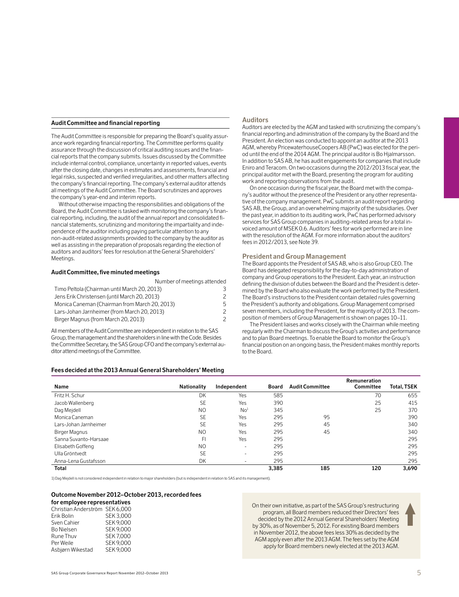#### **Audit Committee and financial reporting**

The Audit Committee is responsible for preparing the Board's quality assurance work regarding financial reporting. The Committee performs quality assurance through the discussion of critical auditing issues and the financial reports that the company submits. Issues discussed by the Committee include internal control, compliance, uncertainty in reported values, events after the closing date, changes in estimates and assessments, financial and legal risks, suspected and verified irregularities, and other matters affecting the company's financial reporting. The company's external auditor attends all meetings of the Audit Committee. The Board scrutinizes and approves the company's year-end and interim reports.

Without otherwise impacting the responsibilities and obligations of the Board, the Audit Committee is tasked with monitoring the company's financial reporting, including, the audit of the annual report and consolidated financial statements, scrutinizing and monitoring the impartiality and independence of the auditor including paying particular attention to any non-audit-related assignments provided to the company by the auditor as well as assisting in the preparation of proposals regarding the election of auditors and auditors' fees for resolution at the General Shareholders' Meetings.

#### **Audit Committee, five minuted meetings**

| Number of meetings attended                   |    |
|-----------------------------------------------|----|
| Timo Peltola (Chairman until March 20, 2013)  |    |
| Jens Erik Christensen (until March 20, 2013)  |    |
| Monica Caneman (Chairman from March 20, 2013) | 5. |
| Lars-Johan Jarnheimer (from March 20, 2013)   |    |
| Birger Magnus (from March 20, 2013)           |    |

All members of the Audit Committee are independent in relation to the SAS Group, the management and the shareholders in line with the Code. Besides the Committee Secretary, the SAS Group CFO and the company's external auditor attend meetings of the Committee.

#### **Fees decided at the 2013 Annual General Shareholders' Meeting**

#### **Auditors**

Auditors are elected by the AGM and tasked with scrutinizing the company's financial reporting and administration of the company by the Board and the President. An election was conducted to appoint an auditor at the 2013 AGM, whereby PricewaterhouseCoopers AB (PwC) was elected for the period until the end of the 2014 AGM. The principal auditor is Bo Hjalmarsson. In addition to SAS AB, he has audit engagements for companies that include Eniro and Teracom. On two occasions during the 2012/2013 fiscal year, the principal auditor met with the Board, presenting the program for auditing work and reporting observations from the audit.

On one occasion during the fiscal year, the Board met with the company's auditor without the presence of the President or any other representative of the company management. PwC submits an audit report regarding SAS AB, the Group, and an overwhelming majority of the subsidiaries. Over the past year, in addition to its auditing work, PwC has performed advisory services for SAS Group companies in auditing-related areas for a total invoiced amount of MSEK 0.6. Auditors' fees for work performed are in line with the resolution of the AGM. For more information about the auditors' fees in 2012/2013, see Note 39.

#### **President and Group Management**

The Board appoints the President of SAS AB, who is also Group CEO. The Board has delegated responsibility for the day-to-day administration of company and Group operations to the President. Each year, an instruction defining the division of duties between the Board and the President is determined by the Board who also evaluate the work performed by the President. The Board's instructions to the President contain detailed rules governing the President's authority and obligations. Group Management comprised seven members, including the President, for the majority of 2013. The composition of members of Group Management is shown on pages 10–11.

The President liaises and works closely with the Chairman while meeting regularly with the Chairman to discuss the Group's activities and performance and to plan Board meetings. To enable the Board to monitor the Group's financial position on an ongoing basis, the President makes monthly reports to the Board.

| Name                  | <b>Nationality</b> | Independent     | Board | <b>Audit Committee</b> | Remuneration<br>Committee | <b>Total, TSEK</b> |
|-----------------------|--------------------|-----------------|-------|------------------------|---------------------------|--------------------|
| Fritz H. Schur        | DK                 | Yes             | 585   |                        | 70                        | 655                |
| Jacob Wallenberg      | <b>SE</b>          | Yes             | 390   |                        | 25                        | 415                |
| Dag Mejdell           | N <sub>O</sub>     | No <sup>1</sup> | 345   |                        | 25                        | 370                |
| Monica Caneman        | <b>SE</b>          | Yes             | 295   | 95                     |                           | 390                |
| Lars-Johan Jarnheimer | <b>SE</b>          | Yes             | 295   | 45                     |                           | 340                |
| Birger Magnus         | N <sub>O</sub>     | Yes             | 295   | 45                     |                           | 340                |
| Sanna Suvanto-Harsaae | FI                 | Yes             | 295   |                        |                           | 295                |
| Elisabeth Goffeng     | N <sub>O</sub>     | $\sim$          | 295   |                        |                           | 295                |
| Ulla Gröntvedt        | <b>SE</b>          | $\sim$          | 295   |                        |                           | 295                |
| Anna-Lena Gustafsson  | DK                 | ٠               | 295   |                        |                           | 295                |
| Total                 |                    |                 | 3.385 | 185                    | 120                       | 3.690              |

1) Dag Mejdell is not considered independent in relation to major shareholders (but is independent in relation to SAS and its management).

#### **Outcome November 2012–October 2013, recorded fees**

#### **for employee representatives**

| Christian Anderström SEK 6.000 |                  |
|--------------------------------|------------------|
| Erik Bolin                     | <b>SEK3.000</b>  |
| Sven Cahier                    | <b>SEK 9.000</b> |
| Bo Nielsen                     | <b>SEK 9.000</b> |
| Rune Thuv                      | <b>SEK7.000</b>  |
| Per Weile                      | <b>SEK 9.000</b> |
| Asbjørn Wikestad               | <b>SEK 9.000</b> |
|                                |                  |

On their own initiative, as part of the SAS Group's restructuring program, all Board members reduced their Directors' fees decided by the 2012 Annual General Shareholders' Meeting by 30%, as of November 5, 2012. For existing Board members in November 2012, the above fees less 30% as decided by the AGM apply even after the 2013 AGM. The fees set by the AGM apply for Board members newly elected at the 2013 AGM.

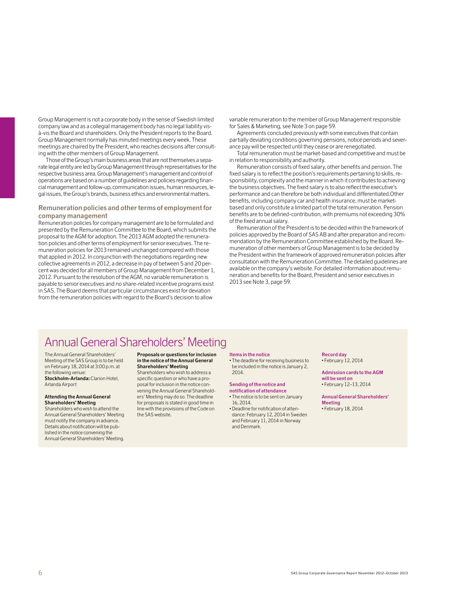Group Management is not a corporate body in the sense of Swedish limited company law and as a collegial management body has no legal liability visà-vis the Board and shareholders. Only the President reports to the Board. Group Management normally has minuted meetings every week. These meetings are chaired by the President, who reaches decisions after consulting with the other members of Group Management.

Those of the Group's main business areas that are not themselves a separate legal entity are led by Group Management through representatives for the respective business area. Group Management's management and control of operations are based on a number of guidelines and policies regarding financial management and follow-up, communication issues, human resources, legal issues, the Group's brands, business ethics and environmental matters.

#### **Remuneration policies and other terms of employment for company management**

Remuneration policies for company management are to be formulated and presented by the Remuneration Committee to the Board, which submits the proposal to the AGM for adoption. The 2013 AGM adopted the remuneration policies and other terms of employment for senior executives. The remuneration policies for 2013 remained unchanged compared with those that applied in 2012. In conjunction with the negotiations regarding new collective agreements in 2012, a decrease in pay of between 5 and 20 percent was decided for all members of Group Management from December 1, 2012. Pursuant to the resolution of the AGM, no variable remuneration is payable to senior executives and no share-related incentive programs exist in SAS. The Board deems that particular circumstances exist for deviation from the remuneration policies with regard to the Board's decision to allow

variable remuneration to the member of Group Management responsible for Sales & Marketing, see Note 3 on page 59.

Agreements concluded previously with some executives that contain partially deviating conditions governing pensions, notice periods and severance pay will be respected until they cease or are renegotiated.

Total remuneration must be market-based and competitive and must be in relation to responsibility and authority.

Remuneration consists of fixed salary, other benefits and pension. The fixed salary is to reflect the position's requirements pertaining to skills, responsibility, complexity and the manner in which it contributes to achieving the business objectives. The fixed salary is to also reflect the executive's performance and can therefore be both individual and differentiated.Other benefits, including company car and health insurance, must be marketbased and only constitute a limited part of the total remuneration. Pension benefits are to be defined-contribution, with premiums not exceeding 30% of the fixed annual salary.

Remuneration of the President is to be decided within the framework of policies approved by the Board of SAS AB and after preparation and recommendation by the Remuneration Committee established by the Board. Remuneration of other members of Group Management is to be decided by the President within the framework of approved remuneration policies after consultation with the Remuneration Committee. The detailed guidelines are available on the company's website. For detailed information about remuneration and benefits for the Board, President and senior executives in 2013 see Note 3, page 59.

### Annual General Shareholders' Meeting

The Annual General Shareholders' Meeting of the SAS Group is to be held on February 18, 2014 at 3:00 p.m. at the following venue: **Stockholm-Arlanda:** Clarion Hotel,

Arlanda Airport

#### **Attending the Annual General Shareholders' Meeting**

Shareholders who wish to attend the Annual General Shareholders' Meeting must notify the company in advance. Details about notification will be published in the notice convening the Annual General Shareholders' Meeting.

#### **Proposals or questions for inclusion in the notice of the Annual General Shareholders' Meeting**

Shareholders who wish to address a specific question or who have a proposal for inclusion in the notice convening the Annual General Shareholders' Meeting may do so. The deadline for proposals is stated in good time in line with the provisions of the Code on the SAS website.

#### **Items in the notice**

• The deadline for receiving business to be included in the notice is January 2, 2014.

#### **Sending of the notice and notification of attendance**

- The notice is to be sent on January 16, 2014.
- Deadline for notification of attendance: February 12, 2014 in Sweden and February 11, 2014 in Norway and Denmark.

#### **Record day**  • February 12, 2014

**Admission cards to the AGM will be sent on** • February 12–13, 2014

**Annual General Shareholders' Meeting**

• February 18, 2014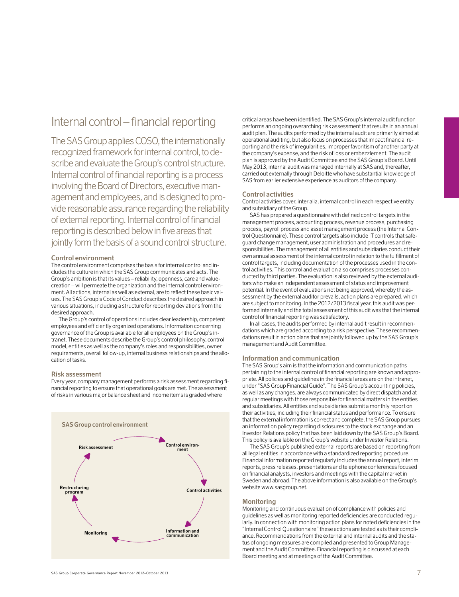### Internal control – financial reporting

The SAS Group applies COSO, the internationally recognized framework for internal control, to describe and evaluate the Group's control structure. Internal control of financial reporting is a process involving the Board of Directors, executive management and employees, and is designed to provide reasonable assurance regarding the reliability of external reporting. Internal control of financial reporting is described below in five areas that jointly form the basis of a sound control structure.

#### **Control environment**

The control environment comprises the basis for internal control and includes the culture in which the SAS Group communicates and acts. The Group's ambition is that its values – reliability, openness, care and valuecreation – will permeate the organization and the internal control environment. All actions, internal as well as external, are to reflect these basic values. The SAS Group's Code of Conduct describes the desired approach in various situations, including a structure for reporting deviations from the desired approach.

The Group's control of operations includes clear leadership, competent employees and efficiently organized operations. Information concerning governance of the Group is available for all employees on the Group's intranet. These documents describe the Group's control philosophy, control model, entities as well as the company's roles and responsibilities, owner requirements, overall follow-up, internal business relationships and the allocation of tasks.

#### **Risk assessment**

Every year, company management performs a risk assessment regarding financial reporting to ensure that operational goals are met. The assessment of risks in various major balance sheet and income items is graded where



critical areas have been identified. The SAS Group's internal audit function performs an ongoing overarching risk assessment that results in an annual audit plan. The audits performed by the internal audit are primarily aimed at operational auditing, but also focus on processes that impact financial reporting and the risk of irregularities, improper favoritism of another party at the company's expense, and the risk of loss or embezzlement. The audit plan is approved by the Audit Committee and the SAS Group's Board. Until May 2013, internal audit was managed internally at SAS and, thereafter, carried out externally through Deloitte who have substantial knowledge of SAS from earlier extensive experience as auditors of the company.

#### **Control activities**

Control activities cover, inter alia, internal control in each respective entity and subsidiary of the Group.

SAS has prepared a questionnaire with defined control targets in the management process, accounting process, revenue process, purchasing process, payroll process and asset management process (the Internal Control Questionnaire). These control targets also include IT controls that safeguard change management, user administration and procedures and responsibilities. The management of all entities and subsidiaries conduct their own annual assessment of the internal control in relation to the fulfillment of control targets, including documentation of the processes used in the control activities. This control and evaluation also comprises processes conducted by third parties. The evaluation is also reviewed by the external auditors who make an independent assessment of status and improvement potential. In the event of evaluations not being approved, whereby the assessment by the external auditor prevails, action plans are prepared, which are subject to monitoring. In the 2012/2013 fiscal year, this audit was performed internally and the total assessment of this audit was that the internal control of financial reporting was satisfactory.

In all cases, the audits performed by internal audit result in recommendations which are graded according to a risk perspective. These recommendations result in action plans that are jointly followed up by the SAS Group's management and Audit Committee.

#### **Information and communication**

The SAS Group's aim is that the information and communication paths pertaining to the internal control of financial reporting are known and appropriate. All policies and guidelines in the financial areas are on the intranet, under "SAS Group Financial Guide". The SAS Group's accounting policies, as well as any changes, are always communicated by direct dispatch and at regular meetings with those responsible for financial matters in the entities and subsidiaries. All entities and subsidiaries submit a monthly report on their activities, including their financial status and performance. To ensure that the external information is correct and complete, the SAS Group pursues an information policy regarding disclosures to the stock exchange and an Investor Relations policy that has been laid down by the SAS Group's Board. This policy is available on the Group's website under Investor Relations.

The SAS Group's published external reports are based on reporting from all legal entities in accordance with a standardized reporting procedure. Financial information reported regularly includes the annual report, interim reports, press releases, presentations and telephone conferences focused on financial analysts, investors and meetings with the capital market in Sweden and abroad. The above information is also available on the Group's website www.sasgroup.net.

#### **Monitoring**

Monitoring and continuous evaluation of compliance with policies and guidelines as well as monitoring reported deficiencies are conducted regularly. In connection with monitoring action plans for noted deficiencies in the "Internal Control Questionnaire" these actions are tested as is their compliance. Recommendations from the external and internal audits and the status of ongoing measures are compiled and presented to Group Management and the Audit Committee. Financial reporting is discussed at each Board meeting and at meetings of the Audit Committee.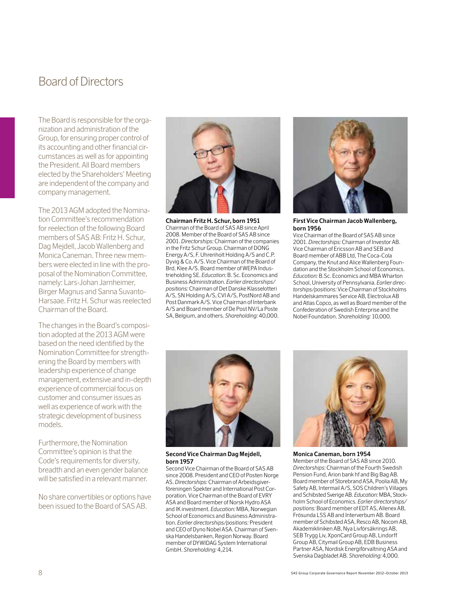### Board of Directors

The Board is responsible for the organization and administration of the Group, for ensuring proper control of its accounting and other financial circumstances as well as for appointing the President. All Board members elected by the Shareholders' Meeting are independent of the company and company management.

The 2013 AGM adopted the Nomination Committee's recommendation for reelection of the following Board members of SAS AB: Fritz H. Schur, Dag Mejdell, Jacob Wallenberg and Monica Caneman. Three new members were elected in line with the proposal of the Nomination Committee, namely: Lars-Johan Jarnheimer, Birger Magnus and Sanna Suvanto-Harsaae. Fritz H. Schur was reelected Chairman of the Board.

The changes in the Board's composition adopted at the 2013 AGM were based on the need identified by the Nomination Committee for strengthening the Board by members with leadership experience of change management, extensive and in-depth experience of commercial focus on customer and consumer issues as well as experience of work with the strategic development of business models.

Furthermore, the Nomination Committee's opinion is that the Code's requirements for diversity, breadth and an even gender balance will be satisfied in a relevant manner.

No share convertibles or options have been issued to the Board of SAS AB.



**Chairman Fritz H. Schur, born 1951** Chairman of the Board of SAS AB since April 2008. Member of the Board of SAS AB since 2001. *Directorships:* Chairman of the companies in the Fritz Schur Group. Chairman of DONG Energy A/S, F. Uhrenholt Holding A/S and C.P. Dyvig & Co. A/S. Vice Chairman of the Board of Brd. Klee A/S. Board member of WEPA Industrieholding SE. *Education:* B. Sc. Economics and Business Administration. *Earlier directorships/ positions:* Chairman of Det Danske Klasselotteri A/S, SN Holding A/S, CVI A/S, PostNord AB and Post Danmark A/S. Vice Chairman of Interbank A/S and Board member of De Post NV/La Poste SA, Belgium, and others. *Shareholding:* 40,000.



**First Vice Chairman Jacob Wallenberg, born 1956**

Vice Chairman of the Board of SAS AB since 2001. *Directorships:* Chairman of Investor AB. Vice Chairman of Ericsson AB and SEB and Board member of ABB Ltd, The Coca-Cola Company, the Knut and Alice Wallenberg Foundation and the Stockholm School of Economics. *Education:* B.Sc. Economics and MBA Wharton School, University of Pennsylvania. *Earlier directorships/positions:* Vice Chairman of Stockholms Handelskammares Service AB, Electrolux AB and Atlas Copco, as well as Board member of the Confederation of Swedish Enterprise and the Nobel Foundation. *Shareholding:* 10,000.



**Second Vice Chairman Dag Mejdell, born 1957**

Second Vice Chairman of the Board of SAS AB since 2008. President and CEO of Posten Norge AS. *Directorships:* Chairman of Arbeidsgiverföreningen Spekter and International Post Corporation. Vice Chairman of the Board of EVRY ASA and Board member of Norsk Hydro ASA and IK investment. *Education:* MBA, Norwegian School of Economics and Business Administration. *Earlier directorships/positions:* President and CEO of Dyno Nobel ASA. Chairman of Svenska Handelsbanken, Region Norway. Board member of DYWIDAG System International GmbH. *Shareholding:* 4,214.



**Monica Caneman, born 1954** Member of the Board of SAS AB since 2010. *Directorships:* Chairman of the Fourth Swedish Pension Fund, Arion bank hf and Big Bag AB. Board member of Storebrand ASA, Poolia AB, My Safety AB, Intermail A/S, SOS Children's Villages and Schibsted Sverige AB. *Education:* MBA, Stockholm School of Economics. *Earlier directorships/ positions:* Board member of EDT AS, Allenex AB, Frösunda LSS AB and Interverbum AB. Board member of Schibsted ASA, Resco AB, Nocom AB, Akademikliniken AB, Nya Livförsäkrings AB, SEB Trygg Liv, XponCard Group AB, Lindorff Group AB, Citymail Group AB, EDB Business Partner ASA, Nordisk Energiförvaltning ASA and Svenska Dagbladet AB. *Shareholding:* 4,000.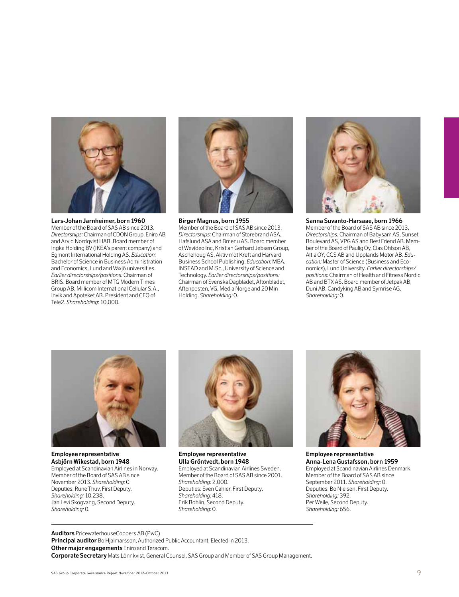

**Lars-Johan Jarnheimer, born 1960** Member of the Board of SAS AB since 2013. *Directorships:* Chairman of CDON Group, Eniro AB and Arvid Nordqvist HAB. Board member of Ingka Holding BV (IKEA's parent company) and Egmont International Holding AS. *Education:* Bachelor of Science in Business Administration and Economics, Lund and Växjö universities. *Earlier directorships/positions:* Chairman of BRIS. Board member of MTG Modern Times Group AB, Millicom International Cellular S.A., Invik and Apoteket AB. President and CEO of Tele2. *Shareholding:* 10,000.



**Birger Magnus, born 1955** Member of the Board of SAS AB since 2013. *Directorships:* Chairman of Storebrand ASA, Hafslund ASA and Bmenu AS. Board member of Wevideo Inc, Kristian Gerhard Jebsen Group, Aschehoug AS, Aktiv mot Kreft and Harvard Business School Publishing. *Education:* MBA, INSEAD and M.Sc., University of Science and Technology. *Earlier directorships/positions:* Chairman of Svenska Dagbladet, Aftonbladet, Aftenposten, VG, Media Norge and 20 Min Holding. *Shareholding:* 0.



**Sanna Suvanto-Harsaae, born 1966** Member of the Board of SAS AB since 2013. *Directorships:* Chairman of Babysam AS, Sunset Boulevard AS, VPG AS and Best Friend AB. Member of the Board of Paulig Oy, Clas Ohlson AB, Altia OY, CCS AB and Upplands Motor AB. *Education:* Master of Science (Business and Economics), Lund University. *Earlier directorships/ positions:* Chairman of Health and Fitness Nordic AB and BTX AS. Board member of Jetpak AB, Duni AB, Candyking AB and Symrise AG. *Shareholding:* 0.



**Employee representative Asbjörn Wikestad, born 1948** Employed at Scandinavian Airlines in Norway. Member of the Board of SAS AB since November 2013. *Shareholding:* 0. Deputies: Rune Thuv, First Deputy. *Shareholding:* 10,238. Jan Levi Skogvang, Second Deputy. *Shareholding:* 0.



**Employee representative Ulla Gröntvedt, born 1948** Employed at Scandinavian Airlines Sweden. Member of the Board of SAS AB since 2001. *Shareholding:* 2,000. Deputies: Sven Cahier, First Deputy. *Shareholding:* 418. Erik Bohlin, Second Deputy. *Shareholding:* 0.



**Employee representative Anna-Lena Gustafsson, born 1959** Employed at Scandinavian Airlines Denmark. Member of the Board of SAS AB since September 2011. *Shareholding:* 0. Deputies: Bo Nielsen, First Deputy. *Shareholding:* 392. Per Weile, Second Deputy. *Shareholding:* 656.

**Auditors** PricewaterhouseCoopers AB (PwC) **Principal auditor** Bo Hjalmarsson, Authorized Public Accountant. Elected in 2013. **Other major engagements** Eniro and Teracom. **Corporate Secretary** Mats Lönnkvist, General Counsel, SAS Group and Member of SAS Group Management.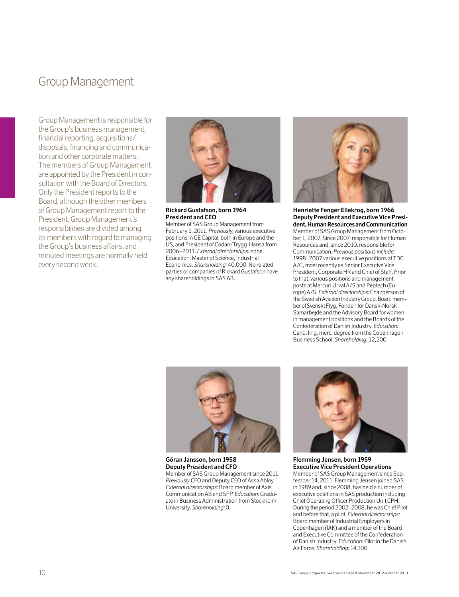### Group Management

Group Management is responsible for the Group's business management, financial reporting, acquisitions/ disposals, financing and communication and other corporate matters. The members of Group Management are appointed by the President in consultation with the Board of Directors. Only the President reports to the Board, although the other members of Group Management report to the President. Group Management's responsibilities are divided among its members with regard to managing the Group's business affairs, and minuted meetings are normally held every second week.



**Rickard Gustafson, born 1964 President and CEO** 

Member of SAS Group Management from February 1, 2011. *Previously*, various executive positions in GE Capital, both in Europe and the US, and President of Codan/Trygg-Hansa from 2006–2011. *External directorships:* none. Education: Master of Science, Industrial Economics. *Shareholding:* 40,000. No related parties or companies of Rickard Gustafson have any shareholdings in SAS AB.



**Henriette Fenger Ellekrog, born 1966 Deputy President and Executive Vice President, Human Resources and Communication** Member of SAS Group Management from October 1, 2007. Since 2007, responsible for Human Resources and, since 2010, responsible for Communication. *Previous positions include:* 1998–2007 various executive positions at TDC A/C, most recently as Senior Executive Vice President, Corporate HR and Chief of Staff. Prior to that, various positions and management posts at Mercuri Urval A/S and Peptech (Europe) A/S. *External directorships:* Chairperson of the Swedish Aviation Industry Group, Board member of Svenskt Flyg, Fonden för Dansk-Norsk Samarbejde and the Advisory Board for women in management positions and the Boards of the Confederation of Danish Industry. *Education:* Cand. ling. merc. degree from the Copenhagen Business School. *Shareholding:* 12,200.



**Göran Jansson, born 1958 Deputy President and CFO** Member of SAS Group Management since 2011. *Previously* CFO and Deputy CEO of Assa Abloy. *External directorships:* Board member of Axis Communication AB and SPP. *Education:* Graduate in Business Administration from Stockholm University. *Shareholding:* 0.



**Flemming Jensen, born 1959 Executive Vice President Operations** Member of SAS Group Management since September 14, 2011. Flemming Jensen joined SAS in 1989 and, since 2008, has held a number of executive positions in SAS production including Chief Operating Officer Production Unit CPH. During the period 2002–2008, he was Chief Pilot and before that, a pilot. *External directorships:* Board member of Industrial Employers in Copenhagen (IAK) and a member of the Board and Executive Committee of the Confederation of Danish Industry. *Education:* Pilot in the Danish Air Force. *Shareholding:* 14,100.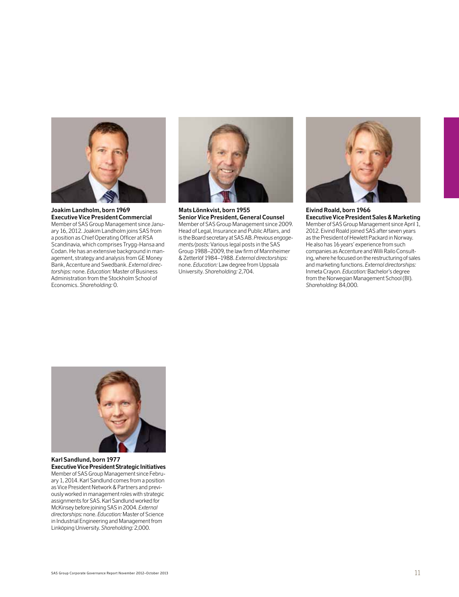

**Joakim Landholm, born 1969 Executive Vice President Commercial** Member of SAS Group Management since January 16, 2012. Joakim Landholm joins SAS from a position as Chief Operating Officer at RSA Scandinavia, which comprises Trygg-Hansa and Codan. He has an extensive background in management, strategy and analysis from GE Money Bank, Accenture and Swedbank. *External directorships:* none. *Education:* Master of Business Administration from the Stockholm School of Economics. *Shareholding:* 0.



**Mats Lönnkvist, born 1955 Senior Vice President, General Counsel** Member of SAS Group Management since 2009. Head of Legal, Insurance and Public Affairs, and is the Board secretary at SAS AB. *Previous engagements/posts:* Various legal posts in the SAS Group 1988–2009, the law firm of Mannheimer & Zetterlöf 1984–1988. *External directorships:* none. *Education:* Law degree from Uppsala University. *Shareholding:* 2,704.



**Eivind Roald, born 1966 Executive Vice President Sales & Marketing** Member of SAS Group Management since April 1, 2012. Eivind Roald joined SAS after seven years as the President of Hewlett Packard in Norway. He also has 16 years' experience from such companies as Accenture and Willi Railo Consulting, where he focused on the restructuring of sales and marketing functions. *External directorships:* Inmeta Crayon. *Education:* Bachelor's degree from the Norwegian Management School (BI). *Shareholding:* 84,000.



**Karl Sandlund, born 1977 Executive Vice President Strategic Initiatives** Member of SAS Group Management since February 1, 2014. Karl Sandlund comes from a position as Vice President Network & Partners and previously worked in management roles with strategic assignments for SAS. Karl Sandlund worked for McKinsey before joining SAS in 2004. *External directorships:* none. *Education:* Master of Science in Industrial Engineering and Management from Linköping University. *Shareholding:* 2,000.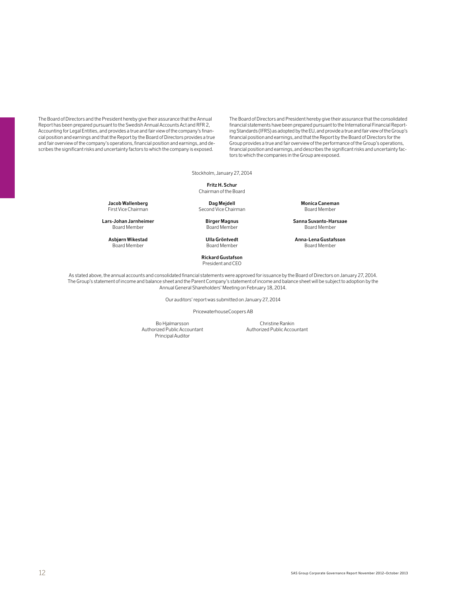The Board of Directors and the President hereby give their assurance that the Annual Report has been prepared pursuant to the Swedish Annual Accounts Act and RFR 2, Accounting for Legal Entities, and provides a true and fair view of the company's financial position and earnings and that the Report by the Board of Directors provides a true and fair overview of the company's operations, financial position and earnings, and describes the significant risks and uncertainty factors to which the company is exposed.

The Board of Directors and President hereby give their assurance that the consolidated financial statements have been prepared pursuant to the International Financial Reporting Standards (IFRS) as adopted by the EU, and provide a true and fair view of the Group's financial position and earnings, and that the Report by the Board of Directors for the Group provides a true and fair overview of the performance of the Group's operations, financial position and earnings, and describes the significant risks and uncertainty factors to which the companies in the Group are exposed.

Stockholm, January 27, 2014

**Fritz H. Schur** Chairman of the Board

Board Member

Board Member

Second Vice Chairman

 **Rickard Gustafson** President and CEO

**Jacob Wallenberg**<br> **Dag Mejdell Drag Mejdell Monica Caneman**<br> **Second Vice Chairman Doard Member Board Member** 

**Lars-Johan Jarnheimer Birger Magnus Sanna Suvanto-Harsaae**

**Asbjørn Wikestad Ulla Gröntvedt Anna-Lena Gustafsson**

As stated above, the annual accounts and consolidated financial statements were approved for issuance by the Board of Directors on January 27, 2014. The Group's statement of income and balance sheet and the Parent Company's statement of income and balance sheet will be subject to adoption by the Annual General Shareholders' Meeting on February 18, 2014.

Our auditors' report was submitted on January 27, 2014

PricewaterhouseCoopers AB

Bo Hjalmarsson Christine Rankin<br>Authorized Public Accountant Authorized Public Accountant Principal Auditor

Authorized Public Accountant